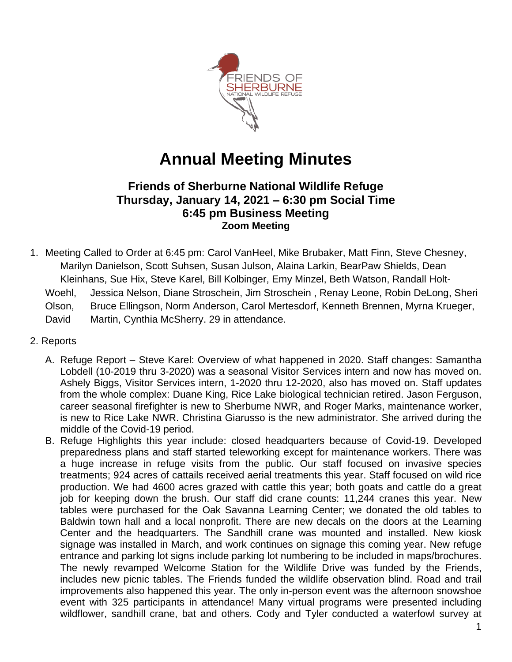

# **Annual Meeting Minutes**

## **Friends of Sherburne National Wildlife Refuge Thursday, January 14, 2021 – 6:30 pm Social Time 6:45 pm Business Meeting Zoom Meeting**

- 1. Meeting Called to Order at 6:45 pm: Carol VanHeel, Mike Brubaker, Matt Finn, Steve Chesney, Marilyn Danielson, Scott Suhsen, Susan Julson, Alaina Larkin, BearPaw Shields, Dean Kleinhans, Sue Hix, Steve Karel, Bill Kolbinger, Emy Minzel, Beth Watson, Randall Holt-Woehl, Jessica Nelson, Diane Stroschein, Jim Stroschein , Renay Leone, Robin DeLong, Sheri Olson, Bruce Ellingson, Norm Anderson, Carol Mertesdorf, Kenneth Brennen, Myrna Krueger, David Martin, Cynthia McSherry. 29 in attendance.
- 2. Reports
	- A. Refuge Report Steve Karel: Overview of what happened in 2020. Staff changes: Samantha Lobdell (10-2019 thru 3-2020) was a seasonal Visitor Services intern and now has moved on. Ashely Biggs, Visitor Services intern, 1-2020 thru 12-2020, also has moved on. Staff updates from the whole complex: Duane King, Rice Lake biological technician retired. Jason Ferguson, career seasonal firefighter is new to Sherburne NWR, and Roger Marks, maintenance worker, is new to Rice Lake NWR. Christina Giarusso is the new administrator. She arrived during the middle of the Covid-19 period.
	- B. Refuge Highlights this year include: closed headquarters because of Covid-19. Developed preparedness plans and staff started teleworking except for maintenance workers. There was a huge increase in refuge visits from the public. Our staff focused on invasive species treatments; 924 acres of cattails received aerial treatments this year. Staff focused on wild rice production. We had 4600 acres grazed with cattle this year; both goats and cattle do a great job for keeping down the brush. Our staff did crane counts: 11,244 cranes this year. New tables were purchased for the Oak Savanna Learning Center; we donated the old tables to Baldwin town hall and a local nonprofit. There are new decals on the doors at the Learning Center and the headquarters. The Sandhill crane was mounted and installed. New kiosk signage was installed in March, and work continues on signage this coming year. New refuge entrance and parking lot signs include parking lot numbering to be included in maps/brochures. The newly revamped Welcome Station for the Wildlife Drive was funded by the Friends, includes new picnic tables. The Friends funded the wildlife observation blind. Road and trail improvements also happened this year. The only in-person event was the afternoon snowshoe event with 325 participants in attendance! Many virtual programs were presented including wildflower, sandhill crane, bat and others. Cody and Tyler conducted a waterfowl survey at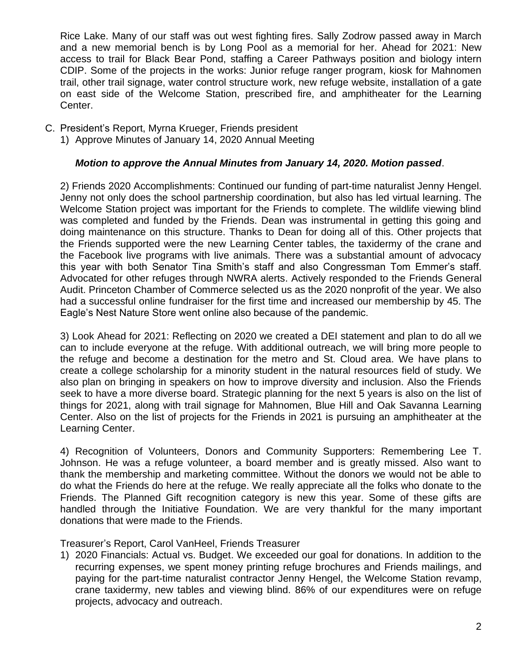Rice Lake. Many of our staff was out west fighting fires. Sally Zodrow passed away in March and a new memorial bench is by Long Pool as a memorial for her. Ahead for 2021: New access to trail for Black Bear Pond, staffing a Career Pathways position and biology intern CDIP. Some of the projects in the works: Junior refuge ranger program, kiosk for Mahnomen trail, other trail signage, water control structure work, new refuge website, installation of a gate on east side of the Welcome Station, prescribed fire, and amphitheater for the Learning Center.

- C. President's Report, Myrna Krueger, Friends president
	- 1) Approve Minutes of January 14, 2020 Annual Meeting

### *Motion to approve the Annual Minutes from January 14, 2020. Motion passed*.

2) Friends 2020 Accomplishments: Continued our funding of part-time naturalist Jenny Hengel. Jenny not only does the school partnership coordination, but also has led virtual learning. The Welcome Station project was important for the Friends to complete. The wildlife viewing blind was completed and funded by the Friends. Dean was instrumental in getting this going and doing maintenance on this structure. Thanks to Dean for doing all of this. Other projects that the Friends supported were the new Learning Center tables, the taxidermy of the crane and the Facebook live programs with live animals. There was a substantial amount of advocacy this year with both Senator Tina Smith's staff and also Congressman Tom Emmer's staff. Advocated for other refuges through NWRA alerts. Actively responded to the Friends General Audit. Princeton Chamber of Commerce selected us as the 2020 nonprofit of the year. We also had a successful online fundraiser for the first time and increased our membership by 45. The Eagle's Nest Nature Store went online also because of the pandemic.

3) Look Ahead for 2021: Reflecting on 2020 we created a DEI statement and plan to do all we can to include everyone at the refuge. With additional outreach, we will bring more people to the refuge and become a destination for the metro and St. Cloud area. We have plans to create a college scholarship for a minority student in the natural resources field of study. We also plan on bringing in speakers on how to improve diversity and inclusion. Also the Friends seek to have a more diverse board. Strategic planning for the next 5 years is also on the list of things for 2021, along with trail signage for Mahnomen, Blue Hill and Oak Savanna Learning Center. Also on the list of projects for the Friends in 2021 is pursuing an amphitheater at the Learning Center.

4) Recognition of Volunteers, Donors and Community Supporters: Remembering Lee T. Johnson. He was a refuge volunteer, a board member and is greatly missed. Also want to thank the membership and marketing committee. Without the donors we would not be able to do what the Friends do here at the refuge. We really appreciate all the folks who donate to the Friends. The Planned Gift recognition category is new this year. Some of these gifts are handled through the Initiative Foundation. We are very thankful for the many important donations that were made to the Friends.

Treasurer's Report, Carol VanHeel, Friends Treasurer

1) 2020 Financials: Actual vs. Budget. We exceeded our goal for donations. In addition to the recurring expenses, we spent money printing refuge brochures and Friends mailings, and paying for the part-time naturalist contractor Jenny Hengel, the Welcome Station revamp, crane taxidermy, new tables and viewing blind. 86% of our expenditures were on refuge projects, advocacy and outreach.